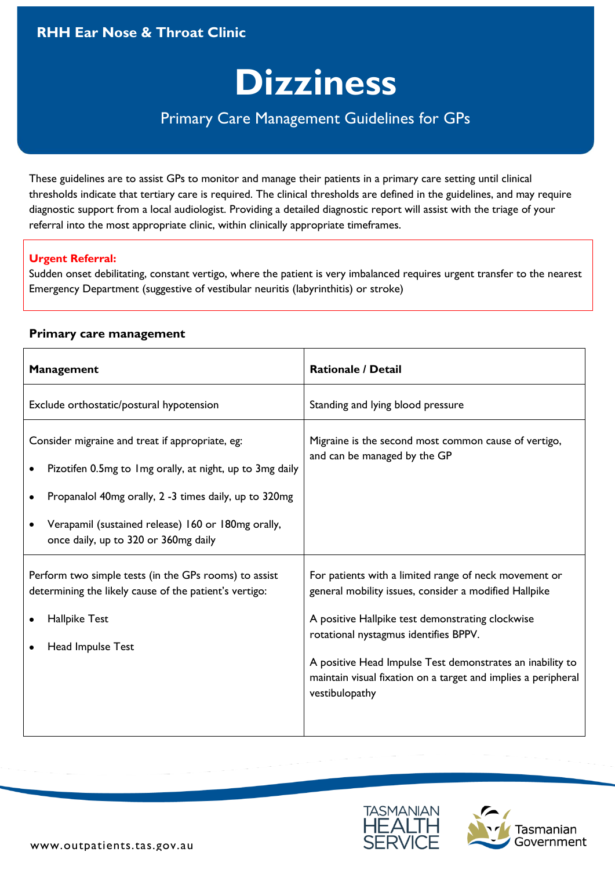### **RHH Ear Nose & Throat Clinic**

# **Dizziness**

## Primary Care Management Guidelines for GPs

These guidelines are to assist GPs to monitor and manage their patients in a primary care setting until clinical thresholds indicate that tertiary care is required. The clinical thresholds are defined in the guidelines, and may require diagnostic support from a local audiologist. Providing a detailed diagnostic report will assist with the triage of your referral into the most appropriate clinic, within clinically appropriate timeframes.

#### **Urgent Referral:**

Sudden onset debilitating, constant vertigo, where the patient is very imbalanced requires urgent transfer to the nearest Emergency Department (suggestive of vestibular neuritis (labyrinthitis) or stroke)

#### **Primary care management**

| <b>Management</b>                                                                                                                                                                                                                                                  | <b>Rationale / Detail</b>                                                                                                                                                                                                                                                                                                                                   |
|--------------------------------------------------------------------------------------------------------------------------------------------------------------------------------------------------------------------------------------------------------------------|-------------------------------------------------------------------------------------------------------------------------------------------------------------------------------------------------------------------------------------------------------------------------------------------------------------------------------------------------------------|
| Exclude orthostatic/postural hypotension                                                                                                                                                                                                                           | Standing and lying blood pressure                                                                                                                                                                                                                                                                                                                           |
| Consider migraine and treat if appropriate, eg:<br>Pizotifen 0.5mg to 1mg orally, at night, up to 3mg daily<br>Propanalol 40mg orally, 2 -3 times daily, up to 320mg<br>Verapamil (sustained release) 160 or 180mg orally,<br>once daily, up to 320 or 360mg daily | Migraine is the second most common cause of vertigo,<br>and can be managed by the GP                                                                                                                                                                                                                                                                        |
| Perform two simple tests (in the GPs rooms) to assist<br>determining the likely cause of the patient's vertigo:<br>Hallpike Test<br>Head Impulse Test                                                                                                              | For patients with a limited range of neck movement or<br>general mobility issues, consider a modified Hallpike<br>A positive Hallpike test demonstrating clockwise<br>rotational nystagmus identifies BPPV.<br>A positive Head Impulse Test demonstrates an inability to<br>maintain visual fixation on a target and implies a peripheral<br>vestibulopathy |



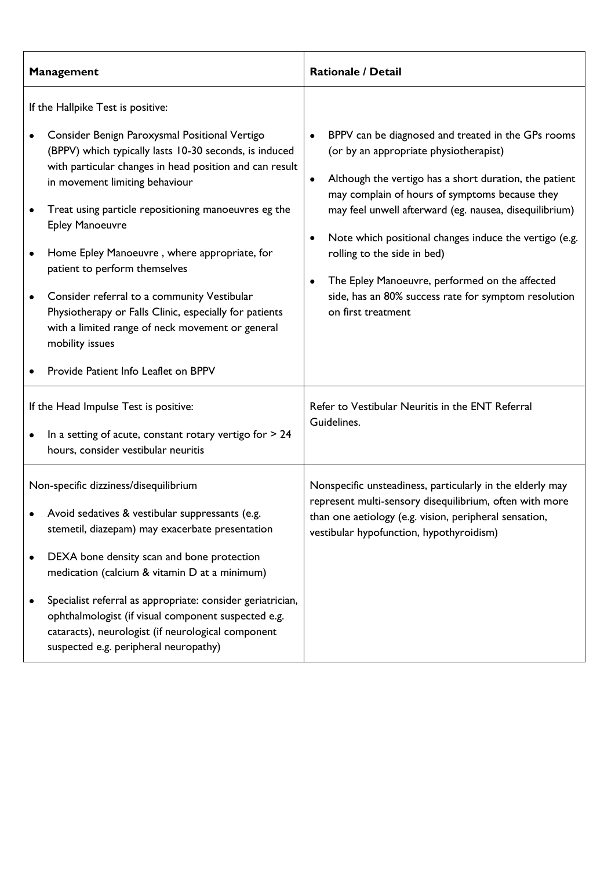| <b>Management</b>                                                                                                                                                                                                                                                                                                                                                                                                                                                                                                                                                                                                                    | <b>Rationale / Detail</b>                                                                                                                                                                                                                                                                                                                                                                                                                                                                                                          |
|--------------------------------------------------------------------------------------------------------------------------------------------------------------------------------------------------------------------------------------------------------------------------------------------------------------------------------------------------------------------------------------------------------------------------------------------------------------------------------------------------------------------------------------------------------------------------------------------------------------------------------------|------------------------------------------------------------------------------------------------------------------------------------------------------------------------------------------------------------------------------------------------------------------------------------------------------------------------------------------------------------------------------------------------------------------------------------------------------------------------------------------------------------------------------------|
| If the Hallpike Test is positive:<br>Consider Benign Paroxysmal Positional Vertigo<br>(BPPV) which typically lasts 10-30 seconds, is induced<br>with particular changes in head position and can result<br>in movement limiting behaviour<br>Treat using particle repositioning manoeuvres eg the<br><b>Epley Manoeuvre</b><br>Home Epley Manoeuvre, where appropriate, for<br>patient to perform themselves<br>Consider referral to a community Vestibular<br>Physiotherapy or Falls Clinic, especially for patients<br>with a limited range of neck movement or general<br>mobility issues<br>Provide Patient Info Leaflet on BPPV | BPPV can be diagnosed and treated in the GPs rooms<br>(or by an appropriate physiotherapist)<br>Although the vertigo has a short duration, the patient<br>$\bullet$<br>may complain of hours of symptoms because they<br>may feel unwell afterward (eg. nausea, disequilibrium)<br>Note which positional changes induce the vertigo (e.g.<br>$\bullet$<br>rolling to the side in bed)<br>The Epley Manoeuvre, performed on the affected<br>$\bullet$<br>side, has an 80% success rate for symptom resolution<br>on first treatment |
| If the Head Impulse Test is positive:<br>In a setting of acute, constant rotary vertigo for $> 24$<br>hours, consider vestibular neuritis                                                                                                                                                                                                                                                                                                                                                                                                                                                                                            | Refer to Vestibular Neuritis in the ENT Referral<br>Guidelines.                                                                                                                                                                                                                                                                                                                                                                                                                                                                    |
| Non-specific dizziness/disequilibrium<br>Avoid sedatives & vestibular suppressants (e.g.<br>stemetil, diazepam) may exacerbate presentation<br>DEXA bone density scan and bone protection<br>medication (calcium & vitamin D at a minimum)<br>Specialist referral as appropriate: consider geriatrician,<br>ophthalmologist (if visual component suspected e.g.<br>cataracts), neurologist (if neurological component<br>suspected e.g. peripheral neuropathy)                                                                                                                                                                       | Nonspecific unsteadiness, particularly in the elderly may<br>represent multi-sensory disequilibrium, often with more<br>than one aetiology (e.g. vision, peripheral sensation,<br>vestibular hypofunction, hypothyroidism)                                                                                                                                                                                                                                                                                                         |